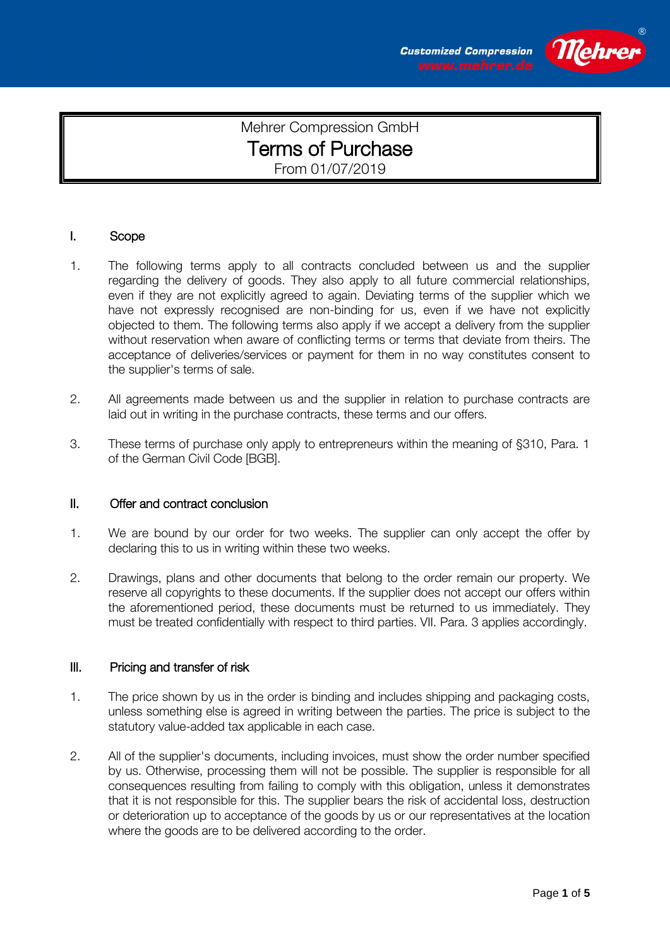

Mehrer Compression GmbH Terms of Purchase From 01/07/2019

## I. Scope

- 1. The following terms apply to all contracts concluded between us and the supplier regarding the delivery of goods. They also apply to all future commercial relationships, even if they are not explicitly agreed to again. Deviating terms of the supplier which we have not expressly recognised are non-binding for us, even if we have not explicitly objected to them. The following terms also apply if we accept a delivery from the supplier without reservation when aware of conflicting terms or terms that deviate from theirs. The acceptance of deliveries/services or payment for them in no way constitutes consent to the supplier's terms of sale.
- 2. All agreements made between us and the supplier in relation to purchase contracts are laid out in writing in the purchase contracts, these terms and our offers.
- 3. These terms of purchase only apply to entrepreneurs within the meaning of §310, Para. 1 of the German Civil Code [BGB].

## II. Offer and contract conclusion

- 1. We are bound by our order for two weeks. The supplier can only accept the offer by declaring this to us in writing within these two weeks.
- 2. Drawings, plans and other documents that belong to the order remain our property. We reserve all copyrights to these documents. If the supplier does not accept our offers within the aforementioned period, these documents must be returned to us immediately. They must be treated confidentially with respect to third parties. VII. Para. 3 applies accordingly.

## III. Pricing and transfer of risk

- 1. The price shown by us in the order is binding and includes shipping and packaging costs, unless something else is agreed in writing between the parties. The price is subject to the statutory value-added tax applicable in each case.
- 2. All of the supplier's documents, including invoices, must show the order number specified by us. Otherwise, processing them will not be possible. The supplier is responsible for all consequences resulting from failing to comply with this obligation, unless it demonstrates that it is not responsible for this. The supplier bears the risk of accidental loss, destruction or deterioration up to acceptance of the goods by us or our representatives at the location where the goods are to be delivered according to the order.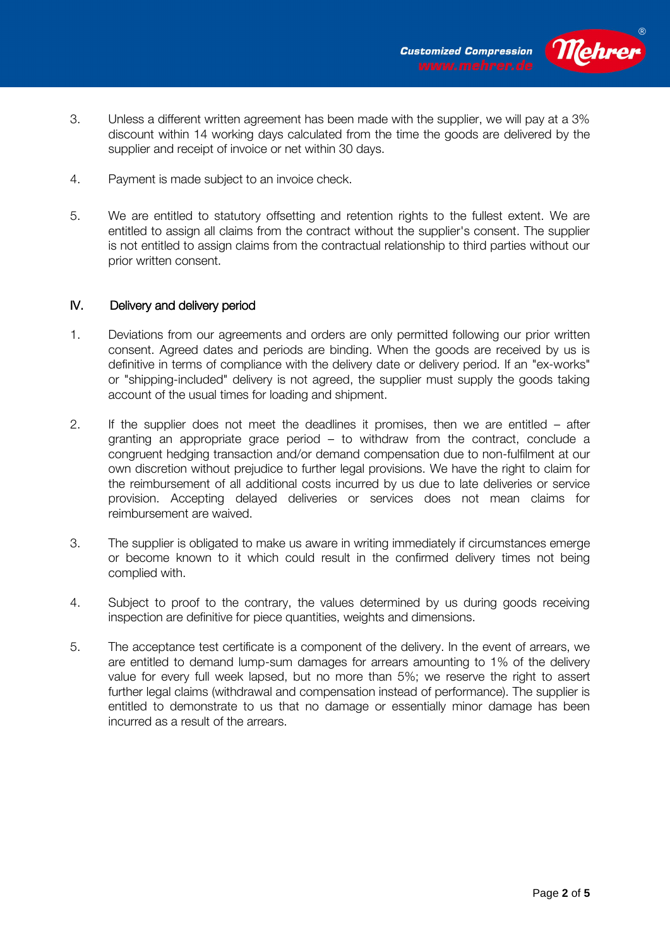

- 3. Unless a different written agreement has been made with the supplier, we will pay at a 3% discount within 14 working days calculated from the time the goods are delivered by the supplier and receipt of invoice or net within 30 days.
- 4. Payment is made subject to an invoice check.
- 5. We are entitled to statutory offsetting and retention rights to the fullest extent. We are entitled to assign all claims from the contract without the supplier's consent. The supplier is not entitled to assign claims from the contractual relationship to third parties without our prior written consent.

### IV. Delivery and delivery period

- 1. Deviations from our agreements and orders are only permitted following our prior written consent. Agreed dates and periods are binding. When the goods are received by us is definitive in terms of compliance with the delivery date or delivery period. If an "ex-works" or "shipping-included" delivery is not agreed, the supplier must supply the goods taking account of the usual times for loading and shipment.
- 2. If the supplier does not meet the deadlines it promises, then we are entitled after granting an appropriate grace period – to withdraw from the contract, conclude a congruent hedging transaction and/or demand compensation due to non-fulfilment at our own discretion without prejudice to further legal provisions. We have the right to claim for the reimbursement of all additional costs incurred by us due to late deliveries or service provision. Accepting delayed deliveries or services does not mean claims for reimbursement are waived.
- 3. The supplier is obligated to make us aware in writing immediately if circumstances emerge or become known to it which could result in the confirmed delivery times not being complied with.
- 4. Subject to proof to the contrary, the values determined by us during goods receiving inspection are definitive for piece quantities, weights and dimensions.
- 5. The acceptance test certificate is a component of the delivery. In the event of arrears, we are entitled to demand lump-sum damages for arrears amounting to 1% of the delivery value for every full week lapsed, but no more than 5%; we reserve the right to assert further legal claims (withdrawal and compensation instead of performance). The supplier is entitled to demonstrate to us that no damage or essentially minor damage has been incurred as a result of the arrears.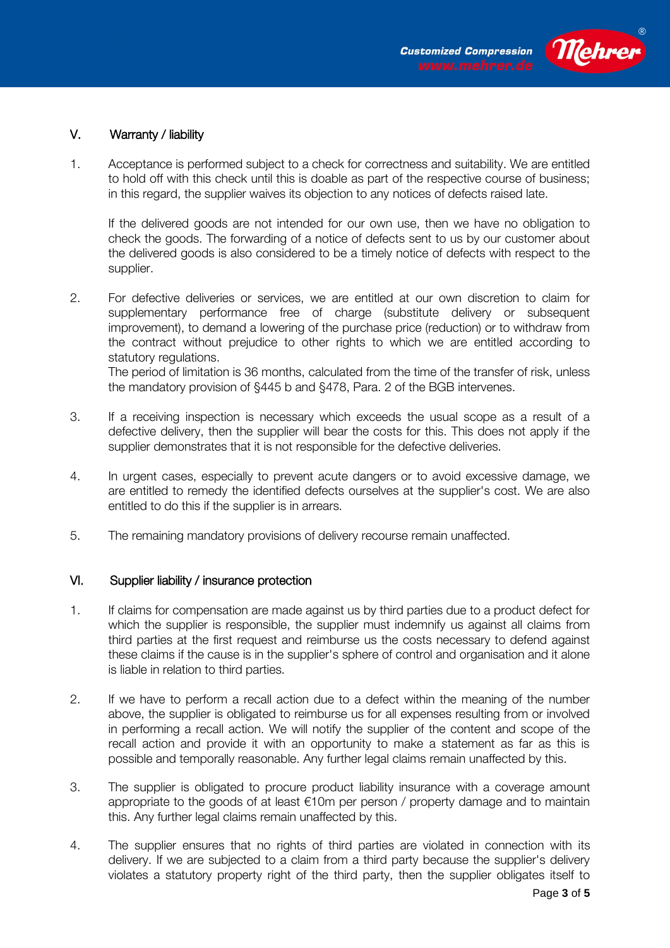



# V. Warranty / liability

1. Acceptance is performed subject to a check for correctness and suitability. We are entitled to hold off with this check until this is doable as part of the respective course of business; in this regard, the supplier waives its objection to any notices of defects raised late.

If the delivered goods are not intended for our own use, then we have no obligation to check the goods. The forwarding of a notice of defects sent to us by our customer about the delivered goods is also considered to be a timely notice of defects with respect to the supplier.

2. For defective deliveries or services, we are entitled at our own discretion to claim for supplementary performance free of charge (substitute delivery or subsequent improvement), to demand a lowering of the purchase price (reduction) or to withdraw from the contract without prejudice to other rights to which we are entitled according to statutory regulations. The period of limitation is 36 months, calculated from the time of the transfer of risk, unless

the mandatory provision of §445 b and §478, Para. 2 of the BGB intervenes.

- 3. If a receiving inspection is necessary which exceeds the usual scope as a result of a defective delivery, then the supplier will bear the costs for this. This does not apply if the supplier demonstrates that it is not responsible for the defective deliveries.
- 4. In urgent cases, especially to prevent acute dangers or to avoid excessive damage, we are entitled to remedy the identified defects ourselves at the supplier's cost. We are also entitled to do this if the supplier is in arrears.
- 5. The remaining mandatory provisions of delivery recourse remain unaffected.

## VI. Supplier liability / insurance protection

- 1. If claims for compensation are made against us by third parties due to a product defect for which the supplier is responsible, the supplier must indemnify us against all claims from third parties at the first request and reimburse us the costs necessary to defend against these claims if the cause is in the supplier's sphere of control and organisation and it alone is liable in relation to third parties.
- 2. If we have to perform a recall action due to a defect within the meaning of the number above, the supplier is obligated to reimburse us for all expenses resulting from or involved in performing a recall action. We will notify the supplier of the content and scope of the recall action and provide it with an opportunity to make a statement as far as this is possible and temporally reasonable. Any further legal claims remain unaffected by this.
- 3. The supplier is obligated to procure product liability insurance with a coverage amount appropriate to the goods of at least €10m per person / property damage and to maintain this. Any further legal claims remain unaffected by this.
- 4. The supplier ensures that no rights of third parties are violated in connection with its delivery. If we are subjected to a claim from a third party because the supplier's delivery violates a statutory property right of the third party, then the supplier obligates itself to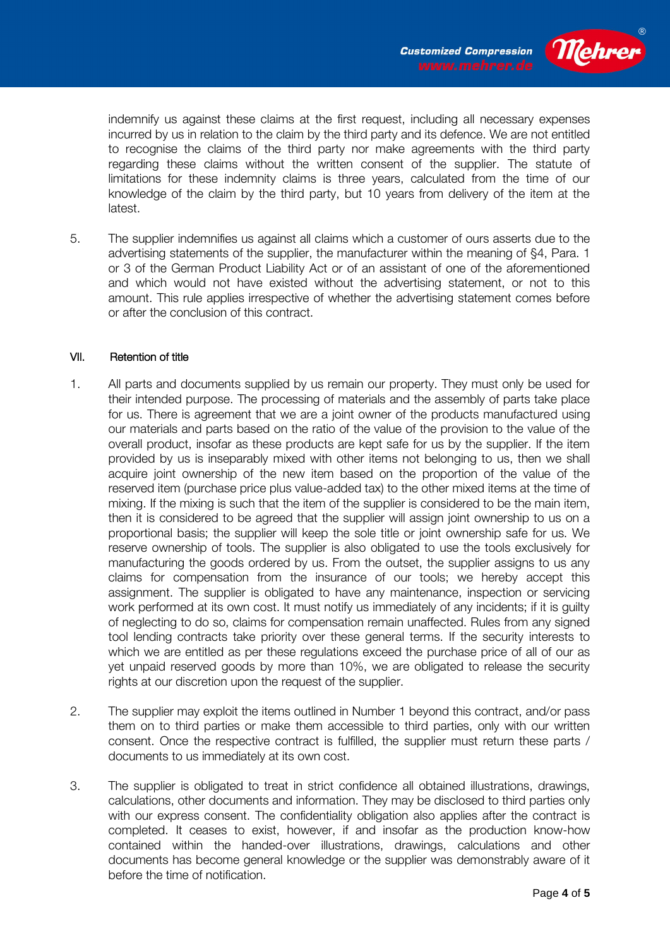

indemnify us against these claims at the first request, including all necessary expenses incurred by us in relation to the claim by the third party and its defence. We are not entitled to recognise the claims of the third party nor make agreements with the third party regarding these claims without the written consent of the supplier. The statute of limitations for these indemnity claims is three years, calculated from the time of our knowledge of the claim by the third party, but 10 years from delivery of the item at the latest.

5. The supplier indemnifies us against all claims which a customer of ours asserts due to the advertising statements of the supplier, the manufacturer within the meaning of §4, Para. 1 or 3 of the German Product Liability Act or of an assistant of one of the aforementioned and which would not have existed without the advertising statement, or not to this amount. This rule applies irrespective of whether the advertising statement comes before or after the conclusion of this contract.

#### VII. Retention of title

- 1. All parts and documents supplied by us remain our property. They must only be used for their intended purpose. The processing of materials and the assembly of parts take place for us. There is agreement that we are a joint owner of the products manufactured using our materials and parts based on the ratio of the value of the provision to the value of the overall product, insofar as these products are kept safe for us by the supplier. If the item provided by us is inseparably mixed with other items not belonging to us, then we shall acquire joint ownership of the new item based on the proportion of the value of the reserved item (purchase price plus value-added tax) to the other mixed items at the time of mixing. If the mixing is such that the item of the supplier is considered to be the main item, then it is considered to be agreed that the supplier will assign joint ownership to us on a proportional basis; the supplier will keep the sole title or joint ownership safe for us. We reserve ownership of tools. The supplier is also obligated to use the tools exclusively for manufacturing the goods ordered by us. From the outset, the supplier assigns to us any claims for compensation from the insurance of our tools; we hereby accept this assignment. The supplier is obligated to have any maintenance, inspection or servicing work performed at its own cost. It must notify us immediately of any incidents; if it is guilty of neglecting to do so, claims for compensation remain unaffected. Rules from any signed tool lending contracts take priority over these general terms. If the security interests to which we are entitled as per these regulations exceed the purchase price of all of our as yet unpaid reserved goods by more than 10%, we are obligated to release the security rights at our discretion upon the request of the supplier.
- 2. The supplier may exploit the items outlined in Number 1 beyond this contract, and/or pass them on to third parties or make them accessible to third parties, only with our written consent. Once the respective contract is fulfilled, the supplier must return these parts / documents to us immediately at its own cost.
- 3. The supplier is obligated to treat in strict confidence all obtained illustrations, drawings, calculations, other documents and information. They may be disclosed to third parties only with our express consent. The confidentiality obligation also applies after the contract is completed. It ceases to exist, however, if and insofar as the production know-how contained within the handed-over illustrations, drawings, calculations and other documents has become general knowledge or the supplier was demonstrably aware of it before the time of notification.